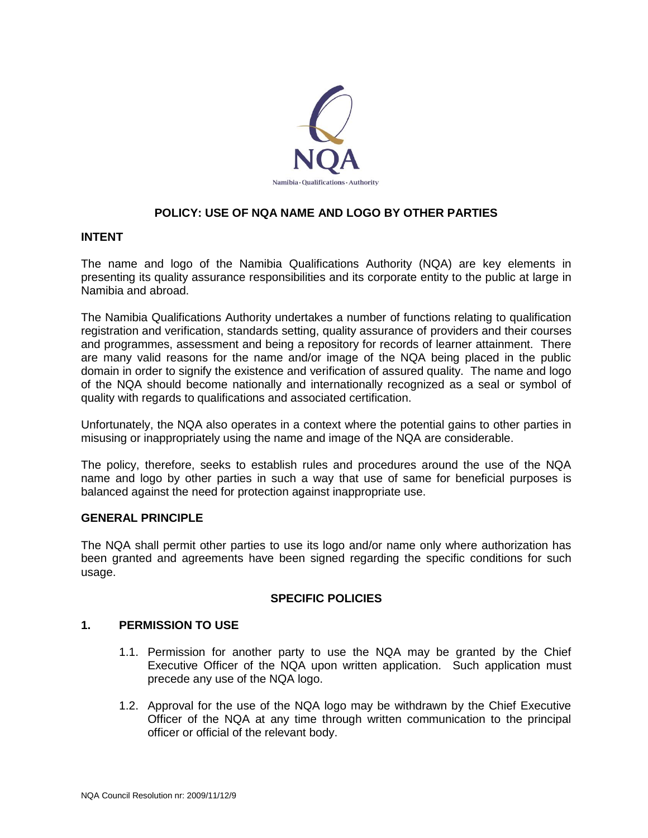

# **POLICY: USE OF NQA NAME AND LOGO BY OTHER PARTIES**

#### **INTENT**

The name and logo of the Namibia Qualifications Authority (NQA) are key elements in presenting its quality assurance responsibilities and its corporate entity to the public at large in Namibia and abroad.

The Namibia Qualifications Authority undertakes a number of functions relating to qualification registration and verification, standards setting, quality assurance of providers and their courses and programmes, assessment and being a repository for records of learner attainment. There are many valid reasons for the name and/or image of the NQA being placed in the public domain in order to signify the existence and verification of assured quality. The name and logo of the NQA should become nationally and internationally recognized as a seal or symbol of quality with regards to qualifications and associated certification.

Unfortunately, the NQA also operates in a context where the potential gains to other parties in misusing or inappropriately using the name and image of the NQA are considerable.

The policy, therefore, seeks to establish rules and procedures around the use of the NQA name and logo by other parties in such a way that use of same for beneficial purposes is balanced against the need for protection against inappropriate use.

#### **GENERAL PRINCIPLE**

The NQA shall permit other parties to use its logo and/or name only where authorization has been granted and agreements have been signed regarding the specific conditions for such usage.

#### **SPECIFIC POLICIES**

## **1. PERMISSION TO USE**

- 1.1. Permission for another party to use the NQA may be granted by the Chief Executive Officer of the NQA upon written application. Such application must precede any use of the NQA logo.
- 1.2. Approval for the use of the NQA logo may be withdrawn by the Chief Executive Officer of the NQA at any time through written communication to the principal officer or official of the relevant body.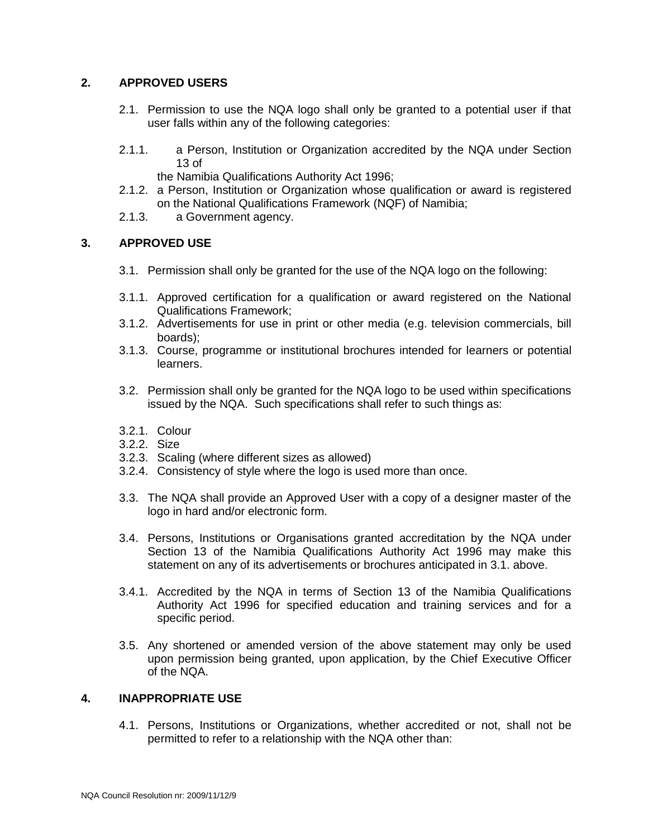### **2. APPROVED USERS**

- 2.1. Permission to use the NQA logo shall only be granted to a potential user if that user falls within any of the following categories:
- 2.1.1. a Person, Institution or Organization accredited by the NQA under Section 13 of
	- the Namibia Qualifications Authority Act 1996;
- 2.1.2. a Person, Institution or Organization whose qualification or award is registered on the National Qualifications Framework (NQF) of Namibia;
- 2.1.3. a Government agency.

#### **3. APPROVED USE**

- 3.1. Permission shall only be granted for the use of the NQA logo on the following:
- 3.1.1. Approved certification for a qualification or award registered on the National Qualifications Framework;
- 3.1.2. Advertisements for use in print or other media (e.g. television commercials, bill boards);
- 3.1.3. Course, programme or institutional brochures intended for learners or potential learners.
- 3.2. Permission shall only be granted for the NQA logo to be used within specifications issued by the NQA. Such specifications shall refer to such things as:
- 3.2.1. Colour
- 3.2.2. Size
- 3.2.3. Scaling (where different sizes as allowed)
- 3.2.4. Consistency of style where the logo is used more than once.
- 3.3. The NQA shall provide an Approved User with a copy of a designer master of the logo in hard and/or electronic form.
- 3.4. Persons, Institutions or Organisations granted accreditation by the NQA under Section 13 of the Namibia Qualifications Authority Act 1996 may make this statement on any of its advertisements or brochures anticipated in 3.1. above.
- 3.4.1. Accredited by the NQA in terms of Section 13 of the Namibia Qualifications Authority Act 1996 for specified education and training services and for a specific period.
- 3.5. Any shortened or amended version of the above statement may only be used upon permission being granted, upon application, by the Chief Executive Officer of the NQA.

### **4. INAPPROPRIATE USE**

4.1. Persons, Institutions or Organizations, whether accredited or not, shall not be permitted to refer to a relationship with the NQA other than: